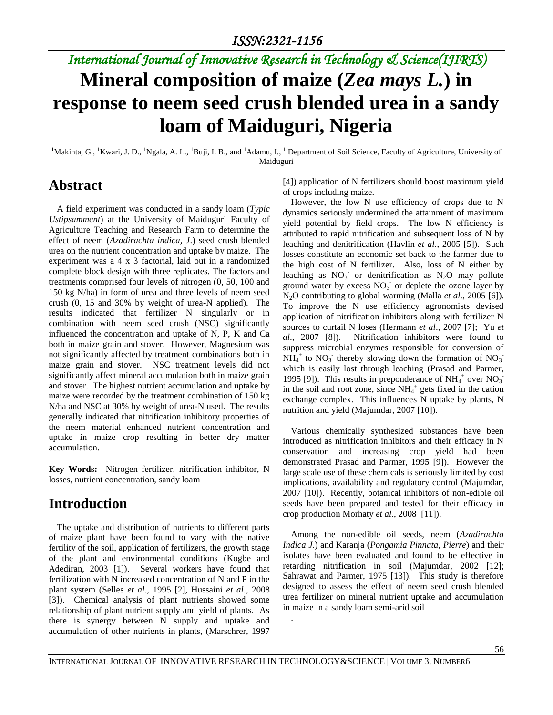# *International Journal of Innovative Research in Technology & Science(IJIRTS)* **Mineral composition of maize (***Zea mays L.***) in**

# **response to neem seed crush blended urea in a sandy loam of Maiduguri, Nigeria**

<sup>1</sup>Makinta, G., <sup>1</sup>Kwari, J. D., <sup>1</sup>Ngala, A. L., <sup>1</sup>Buji, I. B., and <sup>1</sup>Adamu, I., <sup>1</sup> Department of Soil Science, Faculty of Agriculture, University of Maiduguri

### **Abstract**

A field experiment was conducted in a sandy loam (*Typic Ustipsamment*) at the University of Maiduguri Faculty of Agriculture Teaching and Research Farm to determine the effect of neem (*Azadirachta indica, J*.) seed crush blended urea on the nutrient concentration and uptake by maize. The experiment was a 4 x 3 factorial, laid out in a randomized complete block design with three replicates. The factors and treatments comprised four levels of nitrogen (0, 50, 100 and 150 kg N/ha) in form of urea and three levels of neem seed crush (0, 15 and 30% by weight of urea-N applied). The results indicated that fertilizer N singularly or in combination with neem seed crush (NSC) significantly influenced the concentration and uptake of N, P, K and Ca both in maize grain and stover. However, Magnesium was not significantly affected by treatment combinations both in maize grain and stover. NSC treatment levels did not significantly affect mineral accumulation both in maize grain and stover. The highest nutrient accumulation and uptake by maize were recorded by the treatment combination of 150 kg N/ha and NSC at 30% by weight of urea-N used. The results generally indicated that nitrification inhibitory properties of the neem material enhanced nutrient concentration and uptake in maize crop resulting in better dry matter accumulation.

**Key Words:** Nitrogen fertilizer, nitrification inhibitor, N losses, nutrient concentration, sandy loam

# **Introduction**

The uptake and distribution of nutrients to different parts of maize plant have been found to vary with the native fertility of the soil, application of fertilizers, the growth stage of the plant and environmental conditions (Kogbe and Adediran, 2003 [1]). Several workers have found that fertilization with N increased concentration of N and P in the plant system (Selles *et al.*, 1995 [2], Hussaini *et al*., 2008 [3]). Chemical analysis of plant nutrients showed some relationship of plant nutrient supply and yield of plants. As there is synergy between N supply and uptake and accumulation of other nutrients in plants, (Marschrer, 1997

[4]) application of N fertilizers should boost maximum yield of crops including maize.

However, the low N use efficiency of crops due to N dynamics seriously undermined the attainment of maximum yield potential by field crops. The low N efficiency is attributed to rapid nitrification and subsequent loss of N by leaching and denitrification (Havlin *et al.*, 2005 [5]). Such losses constitute an economic set back to the farmer due to the high cost of N fertilizer. Also, loss of N either by leaching as  $NO_3^-$  or denitrification as  $N_2O$  may pollute ground water by excess  $NO<sub>3</sub>$  or deplete the ozone layer by N2O contributing to global warming (Malla *et al*., 2005 [6]). To improve the N use efficiency agronomists devised application of nitrification inhibitors along with fertilizer N sources to curtail N loses (Hermann *et al*., 2007 [7]; Yu *et al*., 2007 [8]). Nitrification inhibitors were found to suppress microbial enzymes responsible for conversion of  $\overline{NH_4}^+$  to  $\overline{NO_3}^-$  thereby slowing down the formation of  $\overline{NO_3}^$ which is easily lost through leaching (Prasad and Parmer, 1995 [9]). This results in preponderance of  $NH_4^+$  over  $NO_3^$ in the soil and root zone, since  $NH_4$ <sup>+</sup> gets fixed in the cation exchange complex. This influences N uptake by plants, N nutrition and yield (Majumdar, 2007 [10]).

Various chemically synthesized substances have been introduced as nitrification inhibitors and their efficacy in N conservation and increasing crop yield had been demonstrated Prasad and Parmer, 1995 [9]). However the large scale use of these chemicals is seriously limited by cost implications, availability and regulatory control (Majumdar, 2007 [10]). Recently, botanical inhibitors of non-edible oil seeds have been prepared and tested for their efficacy in crop production Morhaty *et al*., 2008 [11]).

Among the non-edible oil seeds, neem (*Azadirachta Indica J.*) and Karanja (*Pongamia Pinnata, Pierre*) and their isolates have been evaluated and found to be effective in retarding nitrification in soil (Majumdar, 2002 [12]; Sahrawat and Parmer, 1975 [13]). This study is therefore designed to assess the effect of neem seed crush blended urea fertilizer on mineral nutrient uptake and accumulation in maize in a sandy loam semi-arid soil

.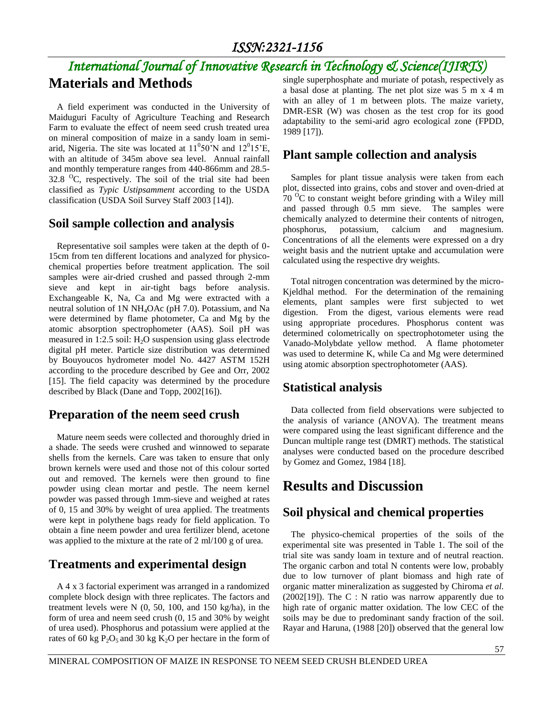# *International Journal of Innovative Research in Technology & Science(IJIRTS)*

### **Materials and Methods**

A field experiment was conducted in the University of Maiduguri Faculty of Agriculture Teaching and Research Farm to evaluate the effect of neem seed crush treated urea on mineral composition of maize in a sandy loam in semiarid, Nigeria. The site was located at  $11^050^{\prime}$ N and  $12^015^{\prime}$ E, with an altitude of 345m above sea level. Annual rainfall and monthly temperature ranges from 440-866mm and 28.5- 32.8  $\rm{^0C}$ , respectively. The soil of the trial site had been classified as *Typic Ustipsamment* according to the USDA classification (USDA Soil Survey Staff 2003 [14]).

#### **Soil sample collection and analysis**

Representative soil samples were taken at the depth of 0- 15cm from ten different locations and analyzed for physicochemical properties before treatment application. The soil samples were air-dried crushed and passed through 2-mm sieve and kept in air-tight bags before analysis. Exchangeable K, Na, Ca and Mg were extracted with a neutral solution of 1N NH4OAc (pH 7.0). Potassium, and Na were determined by flame photometer, Ca and Mg by the atomic absorption spectrophometer (AAS). Soil pH was measured in 1:2.5 soil:  $H_2O$  suspension using glass electrode digital pH meter. Particle size distribution was determined by Bouyoucos hydrometer model No. 4427 ASTM 152H according to the procedure described by Gee and Orr, 2002 [15]. The field capacity was determined by the procedure described by Black (Dane and Topp, 2002[16]).

#### **Preparation of the neem seed crush**

Mature neem seeds were collected and thoroughly dried in a shade. The seeds were crushed and winnowed to separate shells from the kernels. Care was taken to ensure that only brown kernels were used and those not of this colour sorted out and removed. The kernels were then ground to fine powder using clean mortar and pestle. The neem kernel powder was passed through 1mm-sieve and weighed at rates of 0, 15 and 30% by weight of urea applied. The treatments were kept in polythene bags ready for field application. To obtain a fine neem powder and urea fertilizer blend, acetone was applied to the mixture at the rate of 2 ml/100 g of urea.

#### **Treatments and experimental design**

A 4 x 3 factorial experiment was arranged in a randomized complete block design with three replicates. The factors and treatment levels were N (0, 50, 100, and 150 kg/ha), in the form of urea and neem seed crush (0, 15 and 30% by weight of urea used). Phosphorus and potassium were applied at the rates of 60 kg  $P_2O_5$  and 30 kg  $K_2O$  per hectare in the form of

single superphosphate and muriate of potash, respectively as a basal dose at planting. The net plot size was 5 m x 4 m with an alley of 1 m between plots. The maize variety, DMR-ESR (W) was chosen as the test crop for its good adaptability to the semi-arid agro ecological zone (FPDD, 1989 [17]).

#### **Plant sample collection and analysis**

Samples for plant tissue analysis were taken from each plot, dissected into grains, cobs and stover and oven-dried at  $70<sup>o</sup>C$  to constant weight before grinding with a Wiley mill and passed through 0.5 mm sieve. The samples were chemically analyzed to determine their contents of nitrogen, phosphorus, potassium, calcium and magnesium. Concentrations of all the elements were expressed on a dry weight basis and the nutrient uptake and accumulation were calculated using the respective dry weights.

Total nitrogen concentration was determined by the micro-Kjeldhal method. For the determination of the remaining elements, plant samples were first subjected to wet digestion. From the digest, various elements were read using appropriate procedures. Phosphorus content was determined colometrically on spectrophotometer using the Vanado-Molybdate yellow method. A flame photometer was used to determine K, while Ca and Mg were determined using atomic absorption spectrophotometer (AAS).

#### **Statistical analysis**

Data collected from field observations were subjected to the analysis of variance (ANOVA). The treatment means were compared using the least significant difference and the Duncan multiple range test (DMRT) methods. The statistical analyses were conducted based on the procedure described by Gomez and Gomez, 1984 [18].

# **Results and Discussion**

#### **Soil physical and chemical properties**

The physico-chemical properties of the soils of the experimental site was presented in Table 1. The soil of the trial site was sandy loam in texture and of neutral reaction. The organic carbon and total N contents were low, probably due to low turnover of plant biomass and high rate of organic matter mineralization as suggested by Chiroma *et al.*  $(2002[19])$ . The C : N ratio was narrow apparently due to high rate of organic matter oxidation. The low CEC of the soils may be due to predominant sandy fraction of the soil. Rayar and Haruna, (1988 [20]) observed that the general low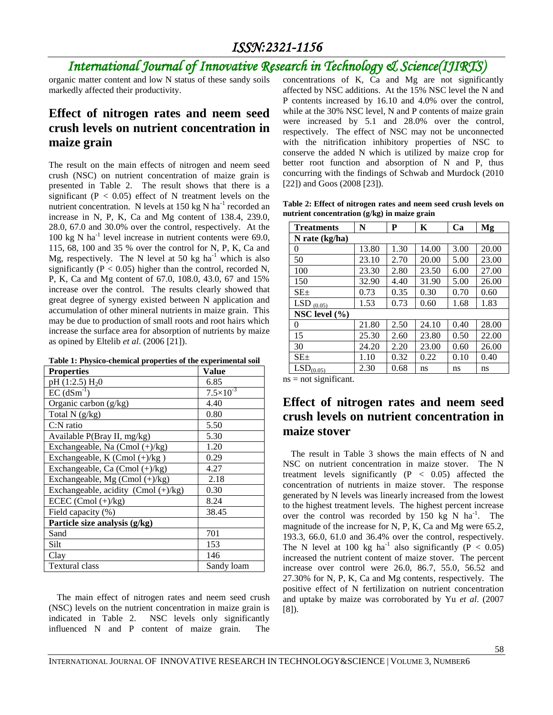# *International Journal of Innovative Research in Technology & Science(IJIRTS)*

organic matter content and low N status of these sandy soils markedly affected their productivity.

### **Effect of nitrogen rates and neem seed crush levels on nutrient concentration in maize grain**

The result on the main effects of nitrogen and neem seed crush (NSC) on nutrient concentration of maize grain is presented in Table 2. The result shows that there is a significant ( $P < 0.05$ ) effect of N treatment levels on the nutrient concentration. N levels at  $150 \text{ kg N} \text{ ha}^{-1}$  recorded an increase in N, P, K, Ca and Mg content of 138.4, 239.0, 28.0, 67.0 and 30.0% over the control, respectively. At the 100 kg N ha<sup>-1</sup> level increase in nutrient contents were 69.0, 115, 68, 100 and 35 % over the control for N, P, K, Ca and Mg, respectively. The N level at 50 kg  $ha^{-1}$  which is also significantly ( $P < 0.05$ ) higher than the control, recorded N, P, K, Ca and Mg content of 67.0, 108.0, 43.0, 67 and 15% increase over the control. The results clearly showed that great degree of synergy existed between N application and accumulation of other mineral nutrients in maize grain. This may be due to production of small roots and root hairs which increase the surface area for absorption of nutrients by maize as opined by Eltelib *et al*. (2006 [21]).

**Table 1: Physico-chemical properties of the experimental soil** 

| <b>Properties</b>                      | Value                |
|----------------------------------------|----------------------|
| pH $(1:2.5)$ H <sub>2</sub> O          | 6.85                 |
| $EC (dSm^{-1})$                        | $7.5 \times 10^{-3}$ |
| Organic carbon (g/kg)                  | 4.40                 |
| Total $N$ (g/kg)                       | 0.80                 |
| $C:$ N ratio                           | 5.50                 |
| Available P(Bray II, mg/kg)            | 5.30                 |
| Exchangeable, Na (Cmol (+)/kg)         | 1.20                 |
| Exchangeable, K (Cmol (+)/kg)          | 0.29                 |
| Exchangeable, Ca $(Cmol (+)/kg)$       | 4.27                 |
| Exchangeable, Mg $(Cmol (+)/kg)$       | 2.18                 |
| Exchangeable, acidity (Cmol $(+)/kg$ ) | 0.30                 |
| ECEC (Cmol $(+)/kg$ )                  | 8.24                 |
| Field capacity (%)                     | 38.45                |
| Particle size analysis (g/kg)          |                      |
| Sand                                   | 701                  |
| Silt                                   | 153                  |
| Clay                                   | 146                  |
| <b>Textural class</b>                  | Sandy loam           |

The main effect of nitrogen rates and neem seed crush (NSC) levels on the nutrient concentration in maize grain is indicated in Table 2. NSC levels only significantly influenced N and P content of maize grain. The concentrations of K, Ca and Mg are not significantly affected by NSC additions. At the 15% NSC level the N and P contents increased by 16.10 and 4.0% over the control, while at the 30% NSC level, N and P contents of maize grain were increased by 5.1 and 28.0% over the control, respectively. The effect of NSC may not be unconnected with the nitrification inhibitory properties of NSC to conserve the added N which is utilized by maize crop for better root function and absorption of N and P, thus concurring with the findings of Schwab and Murdock (2010 [22]) and Goos (2008 [23]).

**Table 2: Effect of nitrogen rates and neem seed crush levels on nutrient concentration (g/kg) in maize grain**

| <b>Treatments</b>     | N     | P    | Κ     | Ca   | Mg    |  |  |  |  |  |
|-----------------------|-------|------|-------|------|-------|--|--|--|--|--|
| N rate (kg/ha)        |       |      |       |      |       |  |  |  |  |  |
| 0                     | 13.80 | 1.30 | 14.00 | 3.00 | 20.00 |  |  |  |  |  |
| 50                    | 23.10 | 2.70 | 20.00 | 5.00 | 23.00 |  |  |  |  |  |
| 100                   | 23.30 | 2.80 | 23.50 | 6.00 | 27.00 |  |  |  |  |  |
| 150                   | 32.90 | 4.40 | 31.90 | 5.00 | 26.00 |  |  |  |  |  |
| SE <sub>±</sub>       | 0.73  | 0.35 | 0.30  | 0.70 | 0.60  |  |  |  |  |  |
| LSD $(0.05)$          | 1.53  | 0.73 | 0.60  | 1.68 | 1.83  |  |  |  |  |  |
| NSC level $(\% )$     |       |      |       |      |       |  |  |  |  |  |
| 0                     | 21.80 | 2.50 | 24.10 | 0.40 | 28.00 |  |  |  |  |  |
| 15                    | 25.30 | 2.60 | 23.80 | 0.50 | 22.00 |  |  |  |  |  |
| 30                    | 24.20 | 2.20 | 23.00 | 0.60 | 26.00 |  |  |  |  |  |
| SE <sub>±</sub>       | 1.10  | 0.32 | 0.22  | 0.10 | 0.40  |  |  |  |  |  |
| LSD <sub>(0.05)</sub> | 2.30  | 0.68 | ns    | ns   | ns    |  |  |  |  |  |

 $ns = not significant.$ 

#### **Effect of nitrogen rates and neem seed crush levels on nutrient concentration in maize stover**

The result in Table 3 shows the main effects of N and NSC on nutrient concentration in maize stover. The N treatment levels significantly  $(P < 0.05)$  affected the concentration of nutrients in maize stover. The response generated by N levels was linearly increased from the lowest to the highest treatment levels. The highest percent increase over the control was recorded by  $150 \text{ kg}$  N ha<sup>-1</sup>. The magnitude of the increase for N, P, K, Ca and Mg were 65.2, 193.3, 66.0, 61.0 and 36.4% over the control, respectively. The N level at 100 kg ha<sup>-1</sup> also significantly ( $\overline{P}$  < 0.05) increased the nutrient content of maize stover. The percent increase over control were 26.0, 86.7, 55.0, 56.52 and 27.30% for N, P, K, Ca and Mg contents, respectively. The positive effect of N fertilization on nutrient concentration and uptake by maize was corroborated by Yu *et al*. (2007 [8]).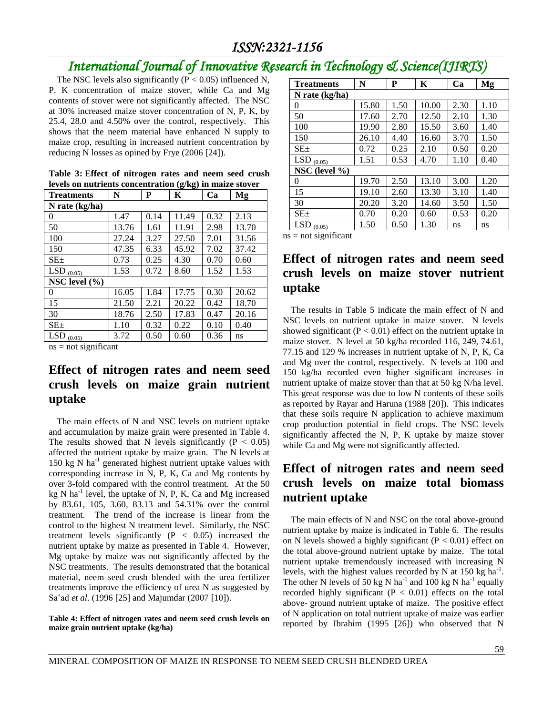# *International Journal of Innovative Research in Technology & Science(IJIRTS)*

The NSC levels also significantly ( $\overline{P}$  < 0.05) influenced N, P. K concentration of maize stover, while Ca and Mg contents of stover were not significantly affected. The NSC at 30% increased maize stover concentration of N, P, K, by 25.4, 28.0 and 4.50% over the control, respectively. This shows that the neem material have enhanced N supply to maize crop, resulting in increased nutrient concentration by reducing N losses as opined by Frye (2006 [24]).

|  | Table 3: Effect of nitrogen rates and neem seed crush      |  |  |  |
|--|------------------------------------------------------------|--|--|--|
|  | levels on nutrients concentration $(g/kg)$ in maize stover |  |  |  |

| <b>Treatments</b> | N     | P    | K     | Ca   | Mg    |  |  |  |  |  |
|-------------------|-------|------|-------|------|-------|--|--|--|--|--|
| N rate $(kg/ha)$  |       |      |       |      |       |  |  |  |  |  |
| $\theta$          | 1.47  | 0.14 | 11.49 | 0.32 | 2.13  |  |  |  |  |  |
| 50                | 13.76 | 1.61 | 11.91 | 2.98 | 13.70 |  |  |  |  |  |
| 100               | 27.24 | 3.27 | 27.50 | 7.01 | 31.56 |  |  |  |  |  |
| 150               | 47.35 | 6.33 | 45.92 | 7.02 | 37.42 |  |  |  |  |  |
| $SE_{\pm}$        | 0.73  | 0.25 | 4.30  | 0.70 | 0.60  |  |  |  |  |  |
| LSD $(0.05)$      | 1.53  | 0.72 | 8.60  | 1.52 | 1.53  |  |  |  |  |  |
| NSC level $(\% )$ |       |      |       |      |       |  |  |  |  |  |
| $\Omega$          | 16.05 | 1.84 | 17.75 | 0.30 | 20.62 |  |  |  |  |  |
| 15                | 21.50 | 2.21 | 20.22 | 0.42 | 18.70 |  |  |  |  |  |
| 30                | 18.76 | 2.50 | 17.83 | 0.47 | 20.16 |  |  |  |  |  |
| $SE_{\pm}$        | 1.10  | 0.32 | 0.22  | 0.10 | 0.40  |  |  |  |  |  |
| LSD<br>(0.05)     | 3.72  | 0.50 | 0.60  | 0.36 | ns    |  |  |  |  |  |

 $ns = not significant$ 

#### **Effect of nitrogen rates and neem seed crush levels on maize grain nutrient uptake**

The main effects of N and NSC levels on nutrient uptake and accumulation by maize grain were presented in Table 4. The results showed that N levels significantly ( $P < 0.05$ ) affected the nutrient uptake by maize grain. The N levels at 150 kg N ha<sup>-1</sup> generated highest nutrient uptake values with corresponding increase in N, P, K, Ca and Mg contents by over 3-fold compared with the control treatment. At the 50 kg N ha<sup>-1</sup> level, the uptake of N, P, K, Ca and Mg increased by 83.61, 105, 3.60, 83.13 and 54.31% over the control treatment. The trend of the increase is linear from the control to the highest N treatment level. Similarly, the NSC treatment levels significantly  $(P < 0.05)$  increased the nutrient uptake by maize as presented in Table 4. However, Mg uptake by maize was not significantly affected by the NSC treatments. The results demonstrated that the botanical material, neem seed crush blended with the urea fertilizer treatments improve the efficiency of urea N as suggested by Sa'ad *et al*. (1996 [25] and Majumdar (2007 [10]).

**Table 4: Effect of nitrogen rates and neem seed crush levels on maize grain nutrient uptake (kg/ha)**

| <b>Treatments</b> | N     | P    | K     | Ca   | Mg   |
|-------------------|-------|------|-------|------|------|
| N rate $(kg/ha)$  |       |      |       |      |      |
| 0                 | 15.80 | 1.50 | 10.00 | 2.30 | 1.10 |
| 50                | 17.60 | 2.70 | 12.50 | 2.10 | 1.30 |
| 100               | 19.90 | 2.80 | 15.50 | 3.60 | 1.40 |
| 150               | 26.10 | 4.40 | 16.60 | 3.70 | 1.50 |
| SE <sub>±</sub>   | 0.72  | 0.25 | 2.10  | 0.50 | 0.20 |
| LSD $(0.05)$      | 1.51  | 0.53 | 4.70  | 1.10 | 0.40 |
| NSC (level $\%$ ) |       |      |       |      |      |
| 0                 | 19.70 | 2.50 | 13.10 | 3.00 | 1.20 |
| 15                | 19.10 | 2.60 | 13.30 | 3.10 | 1.40 |
| 30                | 20.20 | 3.20 | 14.60 | 3.50 | 1.50 |
| $SE_{\pm}$        | 0.70  | 0.20 | 0.60  | 0.53 | 0.20 |
| LSD<br>(0.05)     | 1.50  | 0.50 | 1.30  | ns   | ns   |

 $ns = not significant$ 

#### **Effect of nitrogen rates and neem seed crush levels on maize stover nutrient uptake**

The results in Table 5 indicate the main effect of N and NSC levels on nutrient uptake in maize stover. N levels showed significant ( $P < 0.01$ ) effect on the nutrient uptake in maize stover. N level at 50 kg/ha recorded 116, 249, 74.61, 77.15 and 129 % increases in nutrient uptake of N, P, K, Ca and Mg over the control, respectively. N levels at 100 and 150 kg/ha recorded even higher significant increases in nutrient uptake of maize stover than that at 50 kg N/ha level. This great response was due to low N contents of these soils as reported by Rayar and Haruna (1988 [20]). This indicates that these soils require N application to achieve maximum crop production potential in field crops. The NSC levels significantly affected the N, P, K uptake by maize stover while Ca and Mg were not significantly affected.

#### **Effect of nitrogen rates and neem seed crush levels on maize total biomass nutrient uptake**

The main effects of N and NSC on the total above-ground nutrient uptake by maize is indicated in Table 6. The results on N levels showed a highly significant ( $P < 0.01$ ) effect on the total above-ground nutrient uptake by maize. The total nutrient uptake tremendously increased with increasing N levels, with the highest values recorded by N at 150 kg ha<sup>-1</sup>. The other N levels of 50 kg N ha<sup>-1</sup> and 100 kg N ha<sup>-1</sup> equally recorded highly significant  $(P < 0.01)$  effects on the total above- ground nutrient uptake of maize. The positive effect of N application on total nutrient uptake of maize was earlier reported by Ibrahim (1995 [26]) who observed that N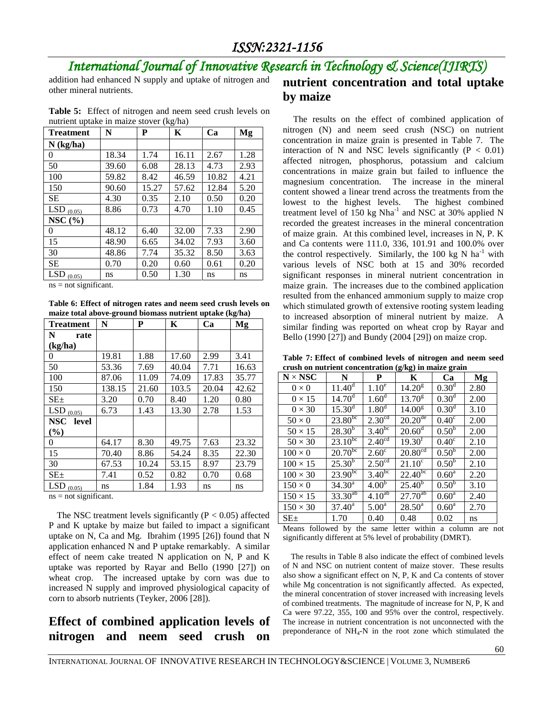# *International Journal of Innovative Research in Technology & Science(IJIRTS)*

addition had enhanced N supply and uptake of nitrogen and other mineral nutrients.

**Table 5:** Effect of nitrogen and neem seed crush levels on nutrient uptake in maize stover (kg/ha)

| <b>Treatment</b>     | N     | P     | K     | Ca    | Mg   |
|----------------------|-------|-------|-------|-------|------|
| $N$ (kg/ha)          |       |       |       |       |      |
| $\theta$             | 18.34 | 1.74  | 16.11 | 2.67  | 1.28 |
| 50                   | 39.60 | 6.08  | 28.13 | 4.73  | 2.93 |
| 100                  | 59.82 | 8.42  | 46.59 | 10.82 | 4.21 |
| 150                  | 90.60 | 15.27 | 57.62 | 12.84 | 5.20 |
| <b>SE</b>            | 4.30  | 0.35  | 2.10  | 0.50  | 0.20 |
| LSD $(0.05)$         | 8.86  | 0.73  | 4.70  | 1.10  | 0.45 |
| NSC $(%)$            |       |       |       |       |      |
| 0                    | 48.12 | 6.40  | 32.00 | 7.33  | 2.90 |
| 15                   | 48.90 | 6.65  | 34.02 | 7.93  | 3.60 |
| 30                   | 48.86 | 7.74  | 35.32 | 8.50  | 3.63 |
| <b>SE</b>            | 0.70  | 0.20  | 0.60  | 0.61  | 0.20 |
| <b>LSD</b><br>(0.05) | ns    | 0.50  | 1.30  | ns    | ns   |

 $ns = not significant.$ 

**Table 6: Effect of nitrogen rates and neem seed crush levels on maize total above-ground biomass nutrient uptake (kg/ha)** 

| <b>Treatment</b>     | N      | P     | K     | Ca    | Mg    |
|----------------------|--------|-------|-------|-------|-------|
| N<br>rate            |        |       |       |       |       |
| (kg/ha)              |        |       |       |       |       |
| 0                    | 19.81  | 1.88  | 17.60 | 2.99  | 3.41  |
| 50                   | 53.36  | 7.69  | 40.04 | 7.71  | 16.63 |
| 100                  | 87.06  | 11.09 | 74.09 | 17.83 | 35.77 |
| 150                  | 138.15 | 21.60 | 103.5 | 20.04 | 42.62 |
| $SE_{\pm}$           | 3.20   | 0.70  | 8.40  | 1.20  | 0.80  |
| LSD $(0.05)$         | 6.73   | 1.43  | 13.30 | 2.78  | 1.53  |
| NSC level            |        |       |       |       |       |
| $(\%)$               |        |       |       |       |       |
| 0                    | 64.17  | 8.30  | 49.75 | 7.63  | 23.32 |
| 15                   | 70.40  | 8.86  | 54.24 | 8.35  | 22.30 |
| 30                   | 67.53  | 10.24 | 53.15 | 8.97  | 23.79 |
| $SE_{\pm}$           | 7.41   | 0.52  | 0.82  | 0.70  | 0.68  |
| <b>LSD</b><br>(0.05) | ns     | 1.84  | 1.93  | ns    | ns    |

ns = not significant.

The NSC treatment levels significantly  $(P < 0.05)$  affected P and K uptake by maize but failed to impact a significant uptake on N, Ca and Mg. Ibrahim (1995 [26]) found that N application enhanced N and P uptake remarkably. A similar effect of neem cake treated N application on N, P and K uptake was reported by Rayar and Bello (1990 [27]) on wheat crop. The increased uptake by corn was due to increased N supply and improved physiological capacity of corn to absorb nutrients (Teyker, 2006 [28]).

#### **Effect of combined application levels of nitrogen and neem seed crush on**

# **nutrient concentration and total uptake by maize**

The results on the effect of combined application of nitrogen (N) and neem seed crush (NSC) on nutrient concentration in maize grain is presented in Table 7. The interaction of N and NSC levels significantly  $(P < 0.01)$ affected nitrogen, phosphorus, potassium and calcium concentrations in maize grain but failed to influence the magnesium concentration. The increase in the mineral content showed a linear trend across the treatments from the lowest to the highest levels. The highest combined treatment level of  $150 \text{ kg}$  Nha<sup>-1</sup> and NSC at 30% applied N recorded the greatest increases in the mineral concentration of maize grain. At this combined level, increases in N, P. K and Ca contents were 111.0, 336, 101.91 and 100.0% over the control respectively. Similarly, the 100 kg N  $ha^{-1}$  with various levels of NSC both at 15 and 30% recorded significant responses in mineral nutrient concentration in maize grain. The increases due to the combined application resulted from the enhanced ammonium supply to maize crop which stimulated growth of extensive rooting system leading to increased absorption of mineral nutrient by maize. A similar finding was reported on wheat crop by Rayar and Bello (1990 [27]) and Bundy (2004 [29]) on maize crop.

**Table 7: Effect of combined levels of nitrogen and neem seed crush on nutrient concentration (g/kg) in maize grain**

| $N \times NSC$  | N                    | P                  | $\mathbf{w}$<br>K     | Ca                | Mg   |
|-----------------|----------------------|--------------------|-----------------------|-------------------|------|
| $0 \times 0$    | $11.40^{\text{d}}$   | 1.10 <sup>e</sup>  | $14.20^{8}$           | 0.30 <sup>d</sup> | 2.80 |
| $0 \times 15$   | 14.70 <sup>d</sup>   | 1.60 <sup>d</sup>  | $13.70^{8}$           | 0.30 <sup>d</sup> | 2.00 |
| $0 \times 30$   | $15.30$ <sup>d</sup> | 1.80 <sup>q</sup>  | 14.00 <sup>g</sup>    | 0.30 <sup>d</sup> | 3.10 |
| $50 \times 0$   | $23.80^{bc}$         | 2.30 <sup>cd</sup> | $20.20$ <sup>de</sup> | $0.40^\circ$      | 2.00 |
| $50 \times 15$  | $28.30^{b}$          | $3.40^{bc}$        | $20.60^{\rm d}$       | 0.50 <sup>b</sup> | 2.00 |
| $50 \times 30$  | $23.10^{bc}$         | 2.40 <sup>cd</sup> | 19.30 <sup>f</sup>    | $0.40^\circ$      | 2.10 |
| $100 \times 0$  | $20.70^{bc}$         | $2.60^\circ$       | $20.80$ <sup>cd</sup> | 0.50 <sup>b</sup> | 2.00 |
| $100 \times 15$ | $25.30^{b}$          | 2.50 <sup>cd</sup> | $21.10^{\circ}$       | 0.50 <sup>b</sup> | 2.10 |
| $100 \times 30$ | $23.90^{bc}$         | $3.40^{bc}$        | $22.40^{bc}$          | $0.60^{\rm a}$    | 2.20 |
| $150 \times 0$  | $34.30^{\rm a}$      | 4.00 <sup>b</sup>  | $25.40^{6}$           | 0.50 <sup>b</sup> | 3.10 |
| $150 \times 15$ | 33.30 <sup>ab</sup>  | 4.10 <sup>ab</sup> | $27.70^{ab}$          | $0.60^{\rm a}$    | 2.40 |
| $150 \times 30$ | $37.40^a$            | 5.00 <sup>a</sup>  | $28.50^a$             | $0.60^{\rm a}$    | 2.70 |
| $SE_{\pm}$      | 1.70                 | 0.40               | 0.48                  | 0.02              | ns   |

Means followed by the same letter within a column are not significantly different at 5% level of probability (DMRT).

The results in Table 8 also indicate the effect of combined levels of N and NSC on nutrient content of maize stover. These results also show a significant effect on N, P, K and Ca contents of stover while Mg concentration is not significantly affected. As expected, the mineral concentration of stover increased with increasing levels of combined treatments. The magnitude of increase for N, P, K and Ca were 97.22, 355, 100 and 95% over the control, respectively. The increase in nutrient concentration is not unconnected with the preponderance of NH<sub>4</sub>-N in the root zone which stimulated the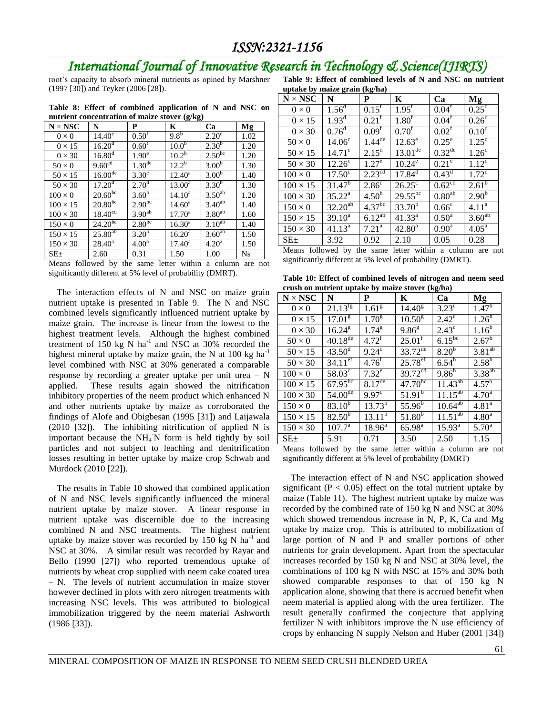# *International Journal of Innovative Research in Technology & Science(IJIRTS)*

root's capacity to absorb mineral nutrients as opined by Marshner (1997 [30]) and Teyker (2006 [28]).

**Table 8: Effect of combined application of N and NSC on nutrient concentration of maize stover (g/kg)**

| $N \times NSC$  | N                                        | P                  | K               | Ca                 | Mg        |
|-----------------|------------------------------------------|--------------------|-----------------|--------------------|-----------|
| $0 \times 0$    | $14.40^e$                                | $0.50^{\text{t}}$  | $9.8^{6}$       | $2.20^{\circ}$     | 1.02      |
| $0 \times 15$   | $16.20$ <sup><math>\text{J}</math></sup> | $0.60^{\rm t}$     | $10.0^{b}$      | $2.30^{b}$         | 1.20      |
| $0 \times 30$   | $16.80^{d}$                              | 1.90 <sup>e</sup>  | $10.2^b$        | $2.50^{bc}$        | 1.20      |
| $50 \times 0$   | 9.60 <sup>cd</sup>                       | $1.30^{\text{de}}$ | $12.2^{b}$      | 3.00 <sup>b</sup>  | 1.30      |
| $50 \times 15$  | 16.00 <sup>de</sup>                      | $3.30^\circ$       | $12.40^{\circ}$ | 3.00 <sup>b</sup>  | 1.40      |
| $50 \times 30$  | 17.20 <sup>d</sup>                       | 2.70 <sup>d</sup>  | $13.00^{\rm a}$ | $3.30^{b}$         | 1.30      |
| $100 \times 0$  | $20.60^{bc}$                             | $3.60^{b}$         | $14.10^a$       | 3.50 <sup>ab</sup> | 1.20      |
| $100 \times 15$ | $20.80^{bc}$                             | $2.90^{bc}$        | $14.60^{\circ}$ | $3.40^{ab}$        | 1.40      |
| $100 \times 30$ | 18.40 <sup>cd</sup>                      | $3.90^{ab}$        | $17.70^{\circ}$ | $3.80^{ab}$        | 1.60      |
| $150 \times 0$  | $24.20^{bc}$                             | $2.80^{bc}$        | $16.30^{a}$     | 3.10 <sup>ab</sup> | 1.40      |
| $150 \times 15$ | $25.80^{ab}$                             | 3.20 <sup>b</sup>  | $16.20^{\rm a}$ | 3.60 <sup>ab</sup> | 1.50      |
| $150 \times 30$ | $28.40^a$                                | 4.00 <sup>a</sup>  | $17.40^{\circ}$ | 4.20 <sup>a</sup>  | 1.50      |
| $SE_{\pm}$      | 2.60                                     | 0.31               | 1.50            | 1.00               | <b>Ns</b> |

Means followed by the same letter within a column are not significantly different at 5% level of probability (DMRT).

The interaction effects of N and NSC on maize grain nutrient uptake is presented in Table 9. The N and NSC combined levels significantly influenced nutrient uptake by maize grain. The increase is linear from the lowest to the highest treatment levels. Although the highest combined treatment of  $150 \text{ kg}$  N ha<sup>-1</sup> and NSC at  $30\%$  recorded the highest mineral uptake by maize grain, the N at  $100 \text{ kg ha}^{-1}$ level combined with NSC at 30% generated a comparable response by recording a greater uptake per unit urea – N applied. These results again showed the nitrification inhibitory properties of the neem product which enhanced N and other nutrients uptake by maize as corroborated the findings of Alofe and Obigbesan (1995 [31]) and Laijawala (2010 [32]). The inhibiting nitrification of applied N is important because the  $NH_4$ <sup>N</sup> form is held tightly by soil particles and not subject to leaching and denitrification losses resulting in better uptake by maize crop Schwab and Murdock (2010 [22]).

The results in Table 10 showed that combined application of N and NSC levels significantly influenced the mineral nutrient uptake by maize stover. A linear response in nutrient uptake was discernible due to the increasing combined N and NSC treatments. The highest nutrient uptake by maize stover was recorded by 150 kg N  $\text{ha}^{-1}$  and NSC at 30%. A similar result was recorded by Rayar and Bello (1990 [27]) who reported tremendous uptake of nutrients by wheat crop supplied with neem cake coated urea – N. The levels of nutrient accumulation in maize stover however declined in plots with zero nitrogen treatments with increasing NSC levels. This was attributed to biological immobilization triggered by the neem material Ashworth (1986 [33]).

**Table 9: Effect of combined levels of N and NSC on nutrient uptake by maize grain (kg/ha)**

| uptane by malle gram (ng/na)   |                                |                        |                     |                    |                    |  |  |  |  |  |
|--------------------------------|--------------------------------|------------------------|---------------------|--------------------|--------------------|--|--|--|--|--|
| $\mathbf{N}\times\mathbf{NSC}$ | N                              | P                      | K                   | Ca                 | Mg                 |  |  |  |  |  |
| $0 \times 0$                   | $1.5\overline{6}$ <sup>d</sup> | $0.15^{f}$             | $1.95^{\text{f}}$   | 0.04 <sup>f</sup>  | 0.25 <sup>d</sup>  |  |  |  |  |  |
| $0 \times 15$                  | $1.93^{\rm d}$                 | $0.21^{f}$             | 1.80 <sup>f</sup>   | $0.04^{\rm f}$     | 0.26 <sup>d</sup>  |  |  |  |  |  |
| $0 \times 30$                  | 0.76 <sup>d</sup>              | $0.09^{\text{t}}$      | $0.70^{1}$          | $0.02^{\rm f}$     | 0.10 <sup>d</sup>  |  |  |  |  |  |
| $50 \times 0$                  | 14.06 <sup>c</sup>             | $1.44$ <sup>de</sup>   | $12.63^e$           | $0.25^{\circ}$     | $1.25^{\circ}$     |  |  |  |  |  |
| $50 \times 15$                 | $14.71^{\circ}$                | $2.15^d$               | $13.01^{\text{de}}$ | $0.32^{\text{de}}$ | 1.26 <sup>c</sup>  |  |  |  |  |  |
| $50 \times 30$                 | 12.26 <sup>c</sup>             | 1.27 <sup>e</sup>      | $10.24^e$           | $0.21^e$           | 1.12 <sup>c</sup>  |  |  |  |  |  |
| $100 \times 0$                 | $17.50^{\circ}$                | $2.2\overline{3}^{cd}$ | $17.84^d$           | $0.43^d$           | 1.72 <sup>c</sup>  |  |  |  |  |  |
| $100 \times 15$                | $31.47^{b}$                    | $2.86^{\circ}$         | $26.25^{\circ}$     | 0.62 <sup>cd</sup> | $2.61^{b}$         |  |  |  |  |  |
| $100 \times 30$                | $35.22^{\overline{a}}$         | 4.50 <sup>b</sup>      | $29.55^{bc}$        | 0.80 <sup>ab</sup> | 2.90 <sup>b</sup>  |  |  |  |  |  |
| $150 \times 0$                 | $32.20^{ab}$                   | 4.37 <sup>bc</sup>     | $33.70^{b}$         | 0.66 <sup>c</sup>  | 4.11 <sup>a</sup>  |  |  |  |  |  |
| $150 \times 15$                | $39.10^a$                      | $6.12^{ab}$            | $41.33^{a}$         | 0.50 <sup>a</sup>  | 3.60 <sup>ab</sup> |  |  |  |  |  |
| $150 \times 30$                | $41.13^a$                      | $7.21^{\rm a}$         | $42.80^{\rm a}$     | 0.90 <sup>a</sup>  | $4.05^{\rm a}$     |  |  |  |  |  |
| $SE_{\pm}$                     | 3.92                           | 0.92                   | 2.10                | 0.05               | 0.28               |  |  |  |  |  |

| Means followed by the same letter within a column are not  |  |  |  |  |  |
|------------------------------------------------------------|--|--|--|--|--|
| significantly different at 5% level of probability (DMRT). |  |  |  |  |  |

**Table 10: Effect of combined levels of nitrogen and neem seed crush on nutrient uptake by maize stover (kg/ha)**

| crush on nutrient aptaint by manic stover $\mathbf{u}_i$ |                        |                       |                       |                   |                       |  |  |  |  |  |  |
|----------------------------------------------------------|------------------------|-----------------------|-----------------------|-------------------|-----------------------|--|--|--|--|--|--|
| $N \times NSC$                                           | N                      | P                     | $\mathbf{K}$          | Ca                | Mg                    |  |  |  |  |  |  |
| $0 \times 0$                                             | $21.13^{fg}$           | 1.61 <sup>g</sup>     | $14.40^{\rm g}$       | $3.23^{\circ}$    | $1.47^{\rm b}$        |  |  |  |  |  |  |
| $0 \times 15$                                            | 17.01 <sup>g</sup>     | $1.70^{8}$            | 10.50 <sup>g</sup>    | $2.42^{\circ}$    | 1.26 <sup>b</sup>     |  |  |  |  |  |  |
| $0 \times 30$                                            | $16.24^{\rm g}$        | $1.74^{8}$            | $9.86^{\rm g}$        | $2.43^{\circ}$    | $1.16^{6}$            |  |  |  |  |  |  |
| $50 \times 0$                                            | $40.18$ <sup>de</sup>  | $4.72^{f}$            | $25.01^{\rm f}$       | $6.15^{bc}$       | $2.67^{b}$            |  |  |  |  |  |  |
| $50 \times 15$                                           | $43.50^{\overline{d}}$ | $9.24^{\circ}$        | $33.72$ <sup>de</sup> | 8.20 <sup>b</sup> | $3.81^{ab}$           |  |  |  |  |  |  |
| $50 \times 30$                                           | $34.11$ <sup>ef</sup>  | $4.76^{f}$            | $25.78$ <sup>ef</sup> | 6.54 <sup>b</sup> | $2.58^{b}$            |  |  |  |  |  |  |
| $100 \times 0$                                           | $58.03^{\circ}$        | $7.32^e$              | $39.72^{cd}$          | 9.86 <sup>b</sup> | $3.38^{ab}$           |  |  |  |  |  |  |
| $100 \times 15$                                          | $67.95^{bc}$           | $8.17$ <sup>de</sup>  | $47.70^{bc}$          | $11.43^{ab}$      | $4.57^{\rm a}$        |  |  |  |  |  |  |
| $100 \times 30$                                          | $54.00^{\text{de}}$    | $9.97^{\overline{c}}$ | $51.91^{b}$           | $11.15^{ab}$      | 4.70 <sup>a</sup>     |  |  |  |  |  |  |
| $150 \times 0$                                           | $83.10^{5}$            | $13.73^{b}$           | $55.96^{b}$           | $10.64^{ab}$      | $4.81^{\overline{a}}$ |  |  |  |  |  |  |
| $150 \times 15$                                          | $82.50^{6}$            | $13.11^{b}$           | $51.80^{5}$           | $11.51^{ab}$      | 4.80 <sup>a</sup>     |  |  |  |  |  |  |
| $150 \times 30$                                          | $107.7^{\circ}$        | $18.96^{\circ}$       | $65.98^{a}$           | $15.93^{a}$       | 5.70 <sup>a</sup>     |  |  |  |  |  |  |
| $SE+$                                                    | 5.91                   | 0.71                  | 3.50                  | 2.50              | 1.15                  |  |  |  |  |  |  |

Means followed by the same letter within a column are not significantly different at 5% level of probability (DMRT)

The interaction effect of N and NSC application showed significant ( $P < 0.05$ ) effect on the total nutrient uptake by maize (Table 11). The highest nutrient uptake by maize was recorded by the combined rate of 150 kg N and NSC at 30% which showed tremendous increase in N, P, K, Ca and Mg uptake by maize crop. This is attributed to mobilization of large portion of N and P and smaller portions of other nutrients for grain development. Apart from the spectacular increases recorded by 150 kg N and NSC at 30% level, the combinations of 100 kg N with NSC at 15% and 30% both showed comparable responses to that of 150 kg N application alone, showing that there is accrued benefit when neem material is applied along with the urea fertilizer. The result generally confirmed the conjecture that applying fertilizer N with inhibitors improve the N use efficiency of crops by enhancing N supply Nelson and Huber (2001 [34])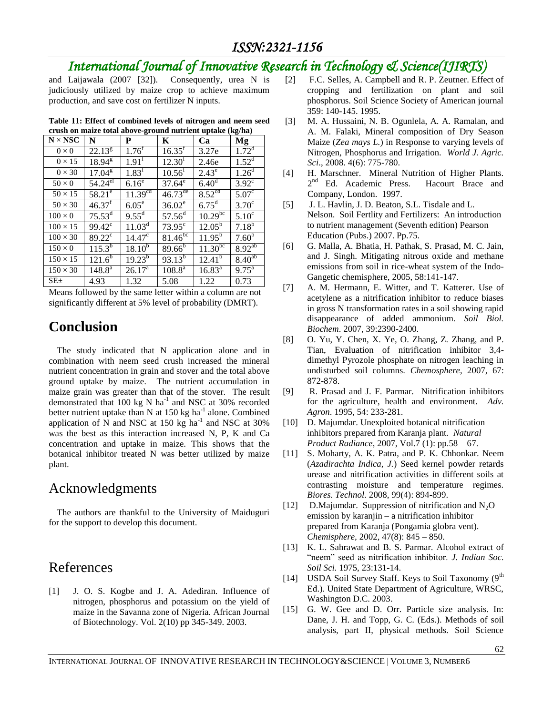# *International Journal of Innovative Research in Technology & Science(IJIRTS)*

and Laijawala (2007 [32]). Consequently, urea N is judiciously utilized by maize crop to achieve maximum production, and save cost on fertilizer N inputs.

| crusii on marze total above-ground nutrient uptake (kg/na) |                        |                     |                     |                     |                        |
|------------------------------------------------------------|------------------------|---------------------|---------------------|---------------------|------------------------|
| $N \times NSC$                                             | N                      | P                   | K                   | Ca                  | Mg                     |
| $0\times 0$                                                | $22.13^{8}$            | $1.76^{\text{t}}$   | $16.35^{\rm f}$     | 3.27e               | 1.72 <sup>d</sup>      |
| $0 \times 15$                                              | $18.94^{8}$            | $1.91^{\text{f}}$   | 12.30 <sup>f</sup>  | 2.46e               | $1.52^d$               |
| $0 \times 30$                                              | $17.04^{\rm g}$        | $1.83^f$            | $10.56^{\rm f}$     | $2.43^e$            | 1.26 <sup>d</sup>      |
| $50\times0$                                                | $54.24$ <sup>ef</sup>  | $6.16^e$            | $37.64^e$           | 6.40 <sup>d</sup>   | $3.92^{\circ}$         |
| $50 \times 15$                                             | $58.21^{\circ}$        | 11.39 <sup>cd</sup> | $46.73^{de}$        | 8.52 <sup>cd</sup>  | $5.07^{\overline{c}}$  |
| $50 \times 30$                                             | $46.37$ <sup>f</sup>   | $6.05^{\circ}$      | $36.02^e$           | $6.75$ <sup>d</sup> | $3.70^{\circ}$         |
| $100\times 0$                                              | $75.53^{\overline{d}}$ | $9.55^{\rm d}$      | $57.56^{\rm d}$     | $10.29^{bc}$        | $5.10^{\circ}$         |
| $100 \times 15$                                            | $99.42^{\circ}$        | $11.03^d$           | $73.95^\circ$       | $12.05^{\rm b}$     | $7.18^{b}$             |
| $100 \times 30$                                            | $89.22^{\circ}$        | $14.47^{\circ}$     | 81.46 <sup>bc</sup> | $11.95^{b}$         | $7.60^{b}$             |
| $150 \times 0$                                             | $115.3^{b}$            | $18.10^{6}$         | $89.66^{\rm b}$     | 11.30 <sup>bc</sup> | $8.92^{\overline{ab}}$ |
| $150 \times 15$                                            | $121.6^{b}$            | $19.23^{b}$         | $93.13^{b}$         | $12.41^{b}$         | $8.40^{\overline{ab}}$ |
| $150 \times 30$                                            | $148.8^{\rm a}$        | $26.17^{a}$         | $108.8^{\rm a}$     | $16.83^{a}$         | $9.75^{\text{a}}$      |
| $SE_{\pm}$                                                 | 4.93                   | 1.32                | 5.08                | 1.22                | 0.73                   |

**Table 11: Effect of combined levels of nitrogen and neem seed crush on maize total above-ground nutrient uptake (kg/ha)** 

Means followed by the same letter within a column are not significantly different at 5% level of probability (DMRT).

# **Conclusion**

The study indicated that N application alone and in combination with neem seed crush increased the mineral nutrient concentration in grain and stover and the total above ground uptake by maize. The nutrient accumulation in maize grain was greater than that of the stover. The result demonstrated that 100 kg N ha<sup>-1</sup> and NSC at 30% recorded better nutrient uptake than N at 150 kg ha<sup>-1</sup> alone. Combined application of  $\overline{N}$  and NSC at 150 kg ha<sup>-1</sup> and NSC at 30% was the best as this interaction increased N, P, K and Ca concentration and uptake in maize. This shows that the botanical inhibitor treated N was better utilized by maize plant.

### Acknowledgments

The authors are thankful to the University of Maiduguri for the support to develop this document.

### References

[1] J. O. S. Kogbe and J. A. Adediran. Influence of nitrogen, phosphorus and potassium on the yield of maize in the Savanna zone of Nigeria. African Journal of Biotechnology. Vol. 2(10) pp 345-349. 2003.

- [2] F.C. Selles, A. Campbell and R. P. Zeutner. Effect of cropping and fertilization on plant and soil phosphorus. Soil Science Society of American journal 359: 140-145. 1995.
- [3] M. A. Hussaini, N. B. Ogunlela, A. A. Ramalan, and A. M. Falaki, Mineral composition of Dry Season Maize (*Zea mays L.*) in Response to varying levels of Nitrogen, Phosphorus and Irrigation. *World J. Agric. Sci*., 2008. 4(6): 775-780.
- [4] H. Marschner. Mineral Nutrition of Higher Plants. 2<sup>nd</sup> Ed. Academic Press. Hacourt Brace and Company, London. 1997.
- [5] J. L. Havlin, J. D. Beaton, S.L. Tisdale and L. Nelson. Soil Fertlity and Fertilizers: An introduction to nutrient management (Seventh edition) Pearson Education (Pubs.) 2007. Pp.75.
- [6] G. Malla, A. Bhatia, H. Pathak, S. Prasad, M. C. Jain, and J. Singh. Mitigating nitrous oxide and methane emissions from soil in rice-wheat system of the Indo-Gangetic chemisphere, 2005, 58:141-147.
- [7] A. M. Hermann, E. Witter, and T. Katterer. Use of acetylene as a nitrification inhibitor to reduce biases in gross N transformation rates in a soil showing rapid disappearance of added ammonium. *Soil Biol. Biochem*. 2007, 39:2390-2400.
- [8] O. Yu, Y. Chen, X. Ye, O. Zhang, Z. Zhang, and P. Tian, Evaluation of nitrification inhibitor 3,4 dimethyl Pyrozole phosphate on nitrogen leaching in undisturbed soil columns. *Chemosphere*, 2007, 67: 872-878.
- [9] R. Prasad and J. F. Parmar. Nitrification inhibitors for the agriculture, health and environment. *Adv. Agron*. 1995, 54: 233-281.
- [10] D. Majumdar. Unexploited botanical nitrification inhibitors prepared from Karanja plant. *Natural Product Radiance*, 2007, Vol.7 (1): pp.58 – 67.
- [11] S. Moharty, A. K. Patra, and P. K. Chhonkar. Neem (*Azadirachta Indica, J.*) Seed kernel powder retards urease and nitrification activities in different soils at contrasting moisture and temperature regimes. *Biores. Technol*. 2008, 99(4): 894-899.
- [12] D.Majumdar. Suppression of nitrification and  $N_2O$ emission by karanjin – a nitrification inhibitor prepared from Karanja (Pongamia globra vent). *Chemisphere,* 2002, 47(8): 845 – 850.
- [13] K. L. Sahrawat and B. S. Parmar. Alcohol extract of "neem" seed as nitrification inhibitor. *J. Indian Soc. Soil Sci.* 1975, 23:131-14.
- [14] USDA Soil Survey Staff. Keys to Soil Taxonomy (9<sup>th</sup>) Ed.). United State Department of Agriculture, WRSC, Washington D.C. 2003.
- [15] G. W. Gee and D. Orr. Particle size analysis. In: Dane, J. H. and Topp, G. C. (Eds.). Methods of soil analysis, part II, physical methods. Soil Science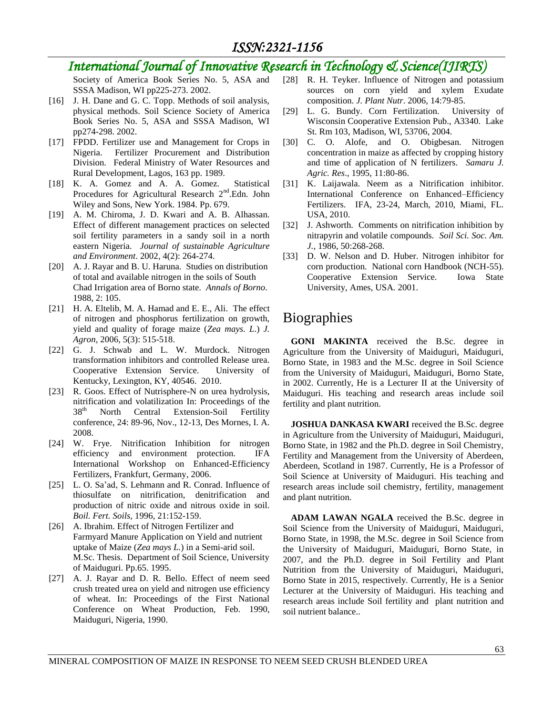# *International Journal of Innovative Research in Technology & Science(IJIRTS)*

Society of America Book Series No. 5, ASA and SSSA Madison, WI pp225-273. 2002.

- [16] J. H. Dane and G. C. Topp. Methods of soil analysis, physical methods. Soil Science Society of America Book Series No. 5, ASA and SSSA Madison, WI pp274-298. 2002.
- [17] FPDD. Fertilizer use and Management for Crops in Nigeria. Fertilizer Procurement and Distribution Division. Federal Ministry of Water Resources and Rural Development, Lagos, 163 pp. 1989.
- [18] K. A. Gomez and A. A. Gomez. Statistical Procedures for Agricultural Research 2<sup>nd</sup>.Edn. John Wiley and Sons, New York. 1984. Pp. 679.
- [19] A. M. Chiroma, J. D. Kwari and A. B. Alhassan. Effect of different management practices on selected soil fertility parameters in a sandy soil in a north eastern Nigeria. *Journal of sustainable Agriculture and Environment*. 2002, 4(2): 264-274.
- [20] A. J. Rayar and B. U. Haruna. Studies on distribution of total and available nitrogen in the soils of South Chad Irrigation area of Borno state. *Annals of Borno*. 1988, 2: 105.
- [21] H. A. Eltelib, M. A. Hamad and E. E., Ali. The effect of nitrogen and phosphorus fertilization on growth, yield and quality of forage maize (*Zea mays. L*.) *J. Agron,* 2006, 5(3): 515-518.
- [22] G. J. Schwab and L. W. Murdock. Nitrogen transformation inhibitors and controlled Release urea. Cooperative Extension Service. University of Kentucky, Lexington, KY, 40546. 2010.
- [23] R. Goos. Effect of Nutrisphere-N on urea hydrolysis, nitrification and volatilization In: Proceedings of the 38<sup>th</sup> North Central Extension-Soil Fertility conference, 24: 89-96, Nov., 12-13, Des Mornes, I. A. 2008.
- [24] W. Frye. Nitrification Inhibition for nitrogen efficiency and environment protection. IFA International Workshop on Enhanced-Efficiency Fertilizers, Frankfurt, Germany, 2006.
- [25] L. O. Sa'ad, S. Lehmann and R. Conrad. Influence of thiosulfate on nitrification, denitrification and production of nitric oxide and nitrous oxide in soil. *Boil. Fert. Soils,* 1996, 21:152-159.
- [26] A. Ibrahim. Effect of Nitrogen Fertilizer and Farmyard Manure Application on Yield and nutrient uptake of Maize (*Zea mays L.*) in a Semi-arid soil. M.Sc. Thesis. Department of Soil Science, University of Maiduguri. Pp.65. 1995.
- [27] A. J. Rayar and D. R. Bello. Effect of neem seed crush treated urea on yield and nitrogen use efficiency of wheat. In: Proceedings of the First National Conference on Wheat Production, Feb. 1990, Maiduguri, Nigeria, 1990.
- [28] R. H. Teyker. Influence of Nitrogen and potassium sources on corn yield and xylem Exudate composition. *J. Plant Nutr*. 2006, 14:79-85.
- [29] L. G. Bundy. Corn Fertilization. University of Wisconsin Cooperative Extension Pub., A3340. Lake St. Rm 103, Madison, WI, 53706, 2004.
- [30] C. O. Alofe, and O. Obigbesan. Nitrogen concentration in maize as affected by cropping history and time of application of N fertilizers. *Samaru J. Agric. Res*., 1995, 11:80-86.
- [31] K. Laijawala. Neem as a Nitrification inhibitor. International Conference on Enhanced–Efficiency Fertilizers. IFA, 23-24, March, 2010, Miami, FL. USA, 2010.
- [32] J. Ashworth. Comments on nitrification inhibition by nitrapyrin and volatile compounds. *Soil Sci. Soc. Am. J.,* 1986, 50:268-268.
- [33] D. W. Nelson and D. Huber. Nitrogen inhibitor for corn production. National corn Handbook (NCH-55). Cooperative Extension Service. Iowa State University, Ames, USA. 2001.

# **Biographies**

**GONI MAKINTA** received the B.Sc. degree in Agriculture from the University of Maiduguri, Maiduguri, Borno State, in 1983 and the M.Sc. degree in Soil Science from the University of Maiduguri, Maiduguri, Borno State, in 2002. Currently, He is a Lecturer II at the University of Maiduguri. His teaching and research areas include soil fertility and plant nutrition.

**JOSHUA DANKASA KWARI** received the B.Sc. degree in Agriculture from the University of Maiduguri, Maiduguri, Borno State, in 1982 and the Ph.D. degree in Soil Chemistry, Fertility and Management from the University of Aberdeen, Aberdeen, Scotland in 1987. Currently, He is a Professor of Soil Science at University of Maiduguri. His teaching and research areas include soil chemistry, fertility, management and plant nutrition.

**ADAM LAWAN NGALA** received the B.Sc. degree in Soil Science from the University of Maiduguri, Maiduguri, Borno State, in 1998, the M.Sc. degree in Soil Science from the University of Maiduguri, Maiduguri, Borno State, in 2007, and the Ph.D. degree in Soil Fertility and Plant Nutrition from the University of Maiduguri, Maiduguri, Borno State in 2015, respectively. Currently, He is a Senior Lecturer at the University of Maiduguri. His teaching and research areas include Soil fertility and plant nutrition and soil nutrient balance..